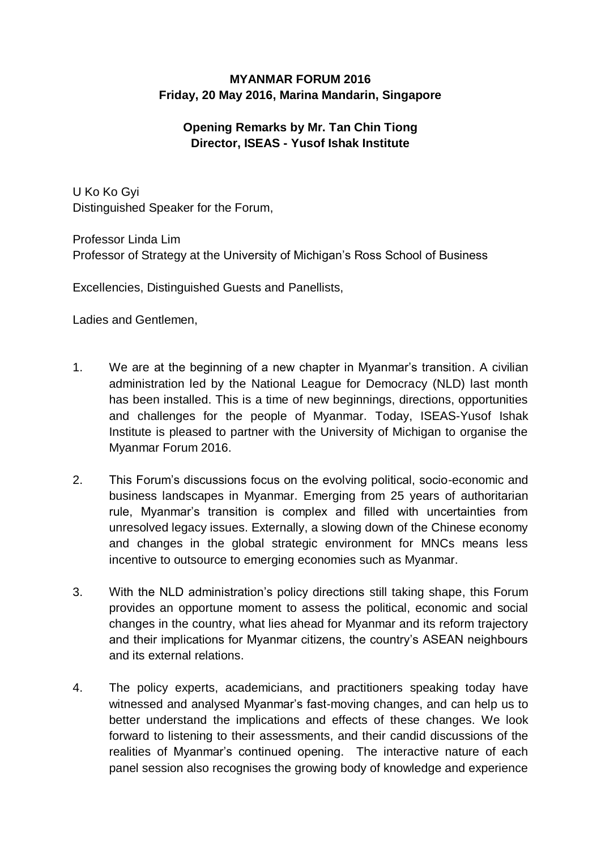## **MYANMAR FORUM 2016 Friday, 20 May 2016, Marina Mandarin, Singapore**

## **Opening Remarks by Mr. Tan Chin Tiong Director, ISEAS - Yusof Ishak Institute**

U Ko Ko Gyi Distinguished Speaker for the Forum,

Professor Linda Lim Professor of Strategy at the University of Michigan's Ross School of Business

Excellencies, Distinguished Guests and Panellists,

Ladies and Gentlemen,

- 1. We are at the beginning of a new chapter in Myanmar's transition. A civilian administration led by the National League for Democracy (NLD) last month has been installed. This is a time of new beginnings, directions, opportunities and challenges for the people of Myanmar. Today, ISEAS-Yusof Ishak Institute is pleased to partner with the University of Michigan to organise the Myanmar Forum 2016.
- 2. This Forum's discussions focus on the evolving political, socio-economic and business landscapes in Myanmar. Emerging from 25 years of authoritarian rule, Myanmar's transition is complex and filled with uncertainties from unresolved legacy issues. Externally, a slowing down of the Chinese economy and changes in the global strategic environment for MNCs means less incentive to outsource to emerging economies such as Myanmar.
- 3. With the NLD administration's policy directions still taking shape, this Forum provides an opportune moment to assess the political, economic and social changes in the country, what lies ahead for Myanmar and its reform trajectory and their implications for Myanmar citizens, the country's ASEAN neighbours and its external relations.
- 4. The policy experts, academicians, and practitioners speaking today have witnessed and analysed Myanmar's fast-moving changes, and can help us to better understand the implications and effects of these changes. We look forward to listening to their assessments, and their candid discussions of the realities of Myanmar's continued opening. The interactive nature of each panel session also recognises the growing body of knowledge and experience